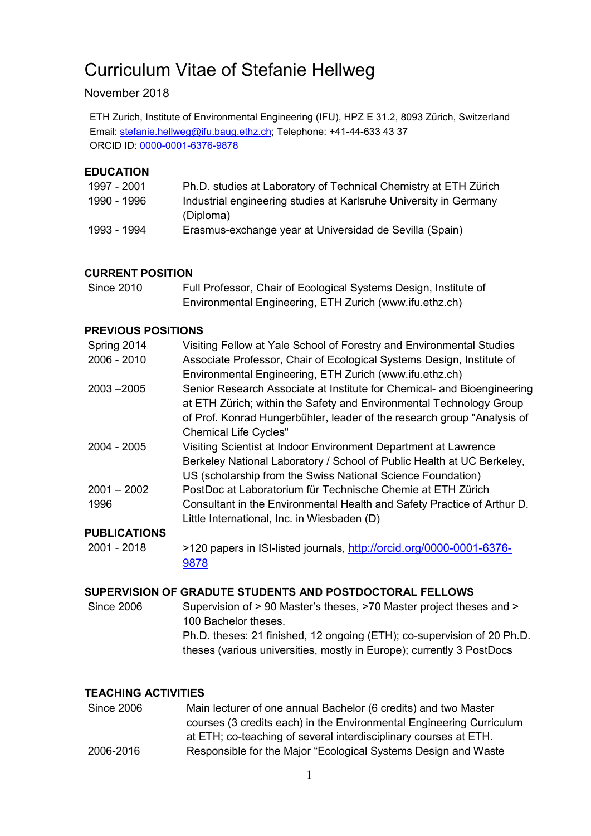# Curriculum Vitae of Stefanie Hellweg

# November 2018

ETH Zurich, Institute of Environmental Engineering (IFU), HPZ E 31.2, 8093 Zürich, Switzerland Email: [stefanie.hellweg@ifu.baug.ethz.ch;](mailto:stefanie.hellweg@ifu.baug.ethz.ch) Telephone: +41-44-633 43 37 ORCID ID: 0000-0001-6376-9878

#### **EDUCATION**

| 1997 - 2001 | Ph.D. studies at Laboratory of Technical Chemistry at ETH Zürich  |
|-------------|-------------------------------------------------------------------|
| 1990 - 1996 | Industrial engineering studies at Karlsruhe University in Germany |
|             | (Diploma)                                                         |
| 1993 - 1994 | Erasmus-exchange year at Universidad de Sevilla (Spain)           |

#### **CURRENT POSITION**

| <b>Since 2010</b> | Full Professor, Chair of Ecological Systems Design, Institute of |
|-------------------|------------------------------------------------------------------|
|                   | Environmental Engineering, ETH Zurich (www.ifu.ethz.ch)          |

#### **PREVIOUS POSITIONS**

|               | Visiting Fellow at Yale School of Forestry and Environmental Studies    |
|---------------|-------------------------------------------------------------------------|
| Spring 2014   |                                                                         |
| $2006 - 2010$ | Associate Professor, Chair of Ecological Systems Design, Institute of   |
|               | Environmental Engineering, ETH Zurich (www.ifu.ethz.ch)                 |
| $2003 - 2005$ | Senior Research Associate at Institute for Chemical- and Bioengineering |
|               | at ETH Zürich; within the Safety and Environmental Technology Group     |
|               | of Prof. Konrad Hungerbühler, leader of the research group "Analysis of |
|               | <b>Chemical Life Cycles"</b>                                            |
| $2004 - 2005$ | Visiting Scientist at Indoor Environment Department at Lawrence         |
|               | Berkeley National Laboratory / School of Public Health at UC Berkeley,  |
|               | US (scholarship from the Swiss National Science Foundation)             |
| $2001 - 2002$ | PostDoc at Laboratorium für Technische Chemie at ETH Zürich             |
| 1996          | Consultant in the Environmental Health and Safety Practice of Arthur D. |
|               | Little International, Inc. in Wiesbaden (D)                             |
|               |                                                                         |

# **PUBLICATIONS**

2001 - 2018 >120 papers in ISI-listed journals, [http://orcid.org/0000-0001-6376-](http://orcid.org/0000-0001-6376-9878) [9878](http://orcid.org/0000-0001-6376-9878)

## **SUPERVISION OF GRADUTE STUDENTS AND POSTDOCTORAL FELLOWS**

Since 2006 Supervision of > 90 Master's theses, >70 Master project theses and > 100 Bachelor theses. Ph.D. theses: 21 finished, 12 ongoing (ETH); co-supervision of 20 Ph.D. theses (various universities, mostly in Europe); currently 3 PostDocs

#### **TEACHING ACTIVITIES**

| <b>Since 2006</b> | Main lecturer of one annual Bachelor (6 credits) and two Master      |
|-------------------|----------------------------------------------------------------------|
|                   | courses (3 credits each) in the Environmental Engineering Curriculum |
|                   | at ETH; co-teaching of several interdisciplinary courses at ETH.     |
| 2006-2016         | Responsible for the Major "Ecological Systems Design and Waste       |